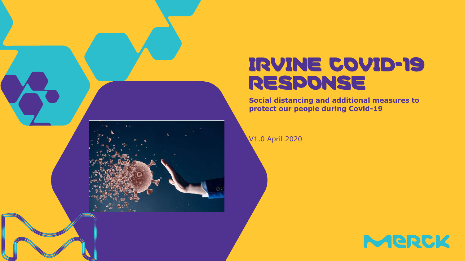

# IRVINE COVID-19 RESPONSE

**Social distancing and additional measures to protect our people during Covid-19**

V1.0 April 2020

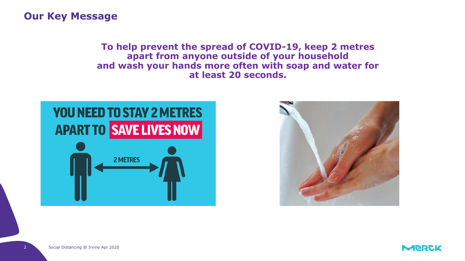#### **Our Key Message**

**To help prevent the spread of COVID-19, keep 2 metres apart from anyone outside of your household and wash your hands more often with soap and water for at least 20 seconds.**



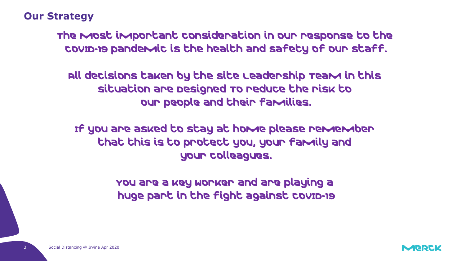#### **Our Strategy**

The most important consideration in our response to the COVID-19 pandemic is the health and safety of our staff.

All decisions taken by the Site Leadership Team in this situation are Designed To reduce the risk to our people and their families.

If you are asked to stay at home please remember that this is to protect you, your family and your colleagues.

> You are a key worker and are playing a huge part in the fight against COVID-19

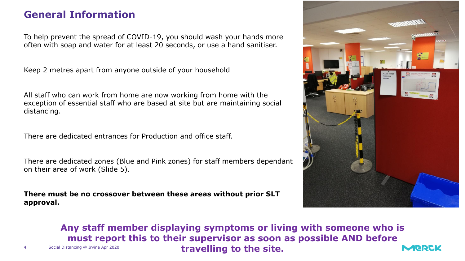#### **General Information**

To help prevent the spread of COVID-19, you should wash your hands more often with soap and water for at least 20 seconds, or use a hand sanitiser.

Keep 2 metres apart from anyone outside of your household

All staff who can work from home are now working from home with the exception of essential staff who are based at site but are maintaining social distancing.

There are dedicated entrances for Production and office staff.

There are dedicated zones (Blue and Pink zones) for staff members dependant on their area of work (Slide 5).

**There must be no crossover between these areas without prior SLT approval.**



**Any staff member displaying symptoms or living with someone who is**  must report this to their supervisor as soon as possible AND before Social Distancing @ Irvine Apr 2020 travelling to the site. **NAJERICK**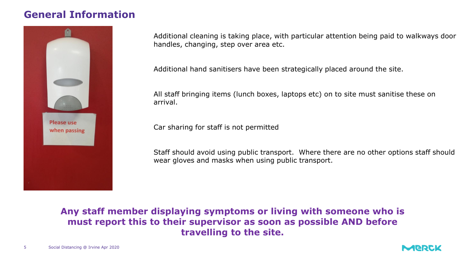#### **General Information**



Additional cleaning is taking place, with particular attention being paid to walkways door handles, changing, step over area etc.

Additional hand sanitisers have been strategically placed around the site.

All staff bringing items (lunch boxes, laptops etc) on to site must sanitise these on arrival.

Car sharing for staff is not permitted

Staff should avoid using public transport. Where there are no other options staff should wear gloves and masks when using public transport.

the spread of coronavirus (COVID-19). **Any staff member displaying symptoms or living with someone who is must report this to their supervisor as soon as possible AND before travelling to the site.**

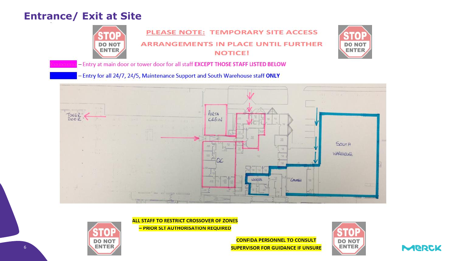#### **Entrance/ Exit at Site**





- Entry at main door or tower door for all staff EXCEPT THOSE STAFF LISTED BELOW

- Entry for all 24/7, 24/5, Maintenance Support and South Warehouse staff ONLY



ALL STAFF TO RESTRICT CROSSOVER OF ZONES

- PRIOR SLT AUTHORISATION REQUIRED



**CONFIDA PERSONNEL TO CONSULT SUPERVISOR FOR GUIDANCE IF UNSURE** 



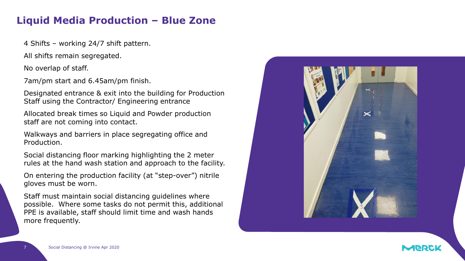#### **Liquid Media Production – Blue Zone**

4 Shifts – working 24/7 shift pattern.

All shifts remain segregated.

No overlap of staff.

7am/pm start and 6.45am/pm finish.

Designated entrance & exit into the building for Production Staff using the Contractor/ Engineering entrance

Allocated break times so Liquid and Powder production staff are not coming into contact.

Walkways and barriers in place segregating office and Production.

Social distancing floor marking highlighting the 2 meter rules at the hand wash station and approach to the facility.

On entering the production facility (at "step-over") nitrile gloves must be worn.

Staff must maintain social distancing guidelines where possible. Where some tasks do not permit this, additional PPE is available, staff should limit time and wash hands more frequently.

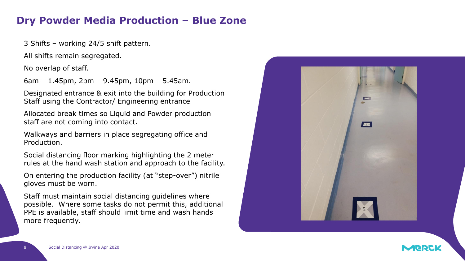#### **Dry Powder Media Production – Blue Zone**

3 Shifts – working 24/5 shift pattern.

All shifts remain segregated.

No overlap of staff.

6am – 1.45pm, 2pm – 9.45pm, 10pm – 5.45am.

Designated entrance & exit into the building for Production Staff using the Contractor/ Engineering entrance

Allocated break times so Liquid and Powder production staff are not coming into contact.

Walkways and barriers in place segregating office and Production.

Social distancing floor marking highlighting the 2 meter rules at the hand wash station and approach to the facility.

On entering the production facility (at "step-over") nitrile gloves must be worn.

Staff must maintain social distancing guidelines where possible. Where some tasks do not permit this, additional PPE is available, staff should limit time and wash hands more frequently.



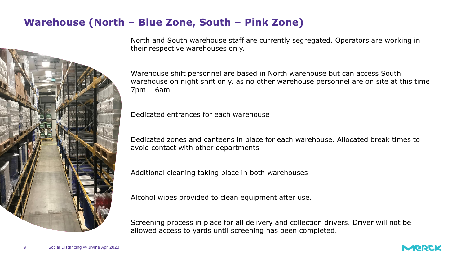#### **Warehouse (North – Blue Zone, South – Pink Zone)**



North and South warehouse staff are currently segregated. Operators are working in their respective warehouses only.

Warehouse shift personnel are based in North warehouse but can access South warehouse on night shift only, as no other warehouse personnel are on site at this time 7pm – 6am

Dedicated entrances for each warehouse

Dedicated zones and canteens in place for each warehouse. Allocated break times to avoid contact with other departments

Additional cleaning taking place in both warehouses

Alcohol wipes provided to clean equipment after use.

Screening process in place for all delivery and collection drivers. Driver will not be allowed access to yards until screening has been completed.



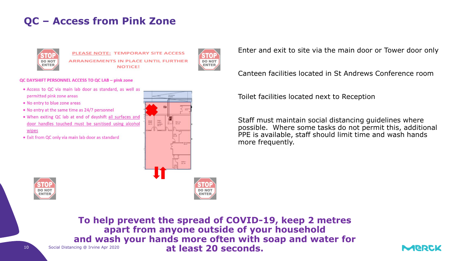### **QC – Access from Pink Zone**



PLEASE NOTE: TEMPORARY SITE ACCESS **ARRANGEMENTS IN PLACE UNTIL FURTHER NOTICE!** 



#### QC DAYSHIFT PERSONNEL ACCESS TO QC LAB - pink zone

- · Access to QC via main lab door as standard, as well as permitted pink zone areas
- . No entry to blue zone areas
- . No entry at the same time as 24/7 personnel
- . When exiting QC lab at end of dayshift all surfaces and door handles touched must be sanitised using alcohol wipes
- . Exit from QC only via main lab door as standard



Enter and exit to site via the main door or Tower door only

Canteen facilities located in St Andrews Conference room

Toilet facilities located next to Reception

Staff must maintain social distancing guidelines where possible. Where some tasks do not permit this, additional PPE is available, staff should limit time and wash hands more frequently.



10 Social Distancing @ Irvine Apr 2020 **To help prevent the spread of COVID-19, keep 2 metres apart from anyone outside of your household and wash your hands more often with soap and water for at least 20 seconds.**

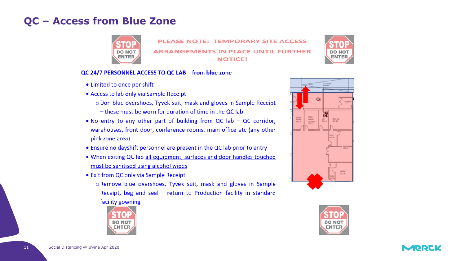#### **QC - Access from Blue Zone**



PLEASE NOTE: TEMPORARY SITE ACCESS **ARRANGEMENTS IN PLACE UNTIL FURTHER NOTICE!** 

#### QC 24/7 PERSONNEL ACCESS TO QC LAB - from blue zone

- Limited to once per shift
- Access to lab only via Sample Receipt
	- o Don blue overshoes, Tyvek suit, mask and gloves in Sample Receipt
	- these must be worn for duration of time in the QC lab
- No entry to any other part of building from  $QC$  lab  $-QC$  corridor, warehouses, front door, conference rooms, main office etc (any other pink zone area)
- Ensure no dayshift personnel are present in the QC lab prior to entry
- . When exiting QC lab all equipment, surfaces and door handles touched must be sanitised using alcohol wipes
- Exit from QC only via Sample Receipt
	- o Remove blue overshoes, Tyvek suit, mask and gloves in Sample Receipt, bag and seal - return to Production facility in standard facility gowning





**DO NO ENTER** 



11

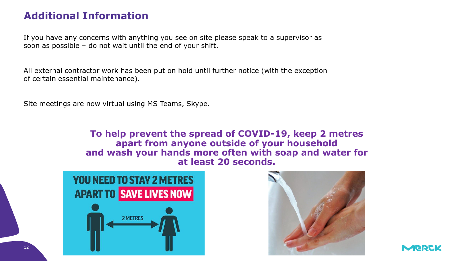## **Additional Information**

If you have any concerns with anything you see on site please speak to a supervisor as soon as possible – do not wait until the end of your shift.

All external contractor work has been put on hold until further notice (with the exception of certain essential maintenance).

Site meetings are now virtual using MS Teams, Skype.

**To help prevent the spread of COVID-19, keep 2 metres apart from anyone outside of your household and wash your hands more often with soap and water for at least 20 seconds.**